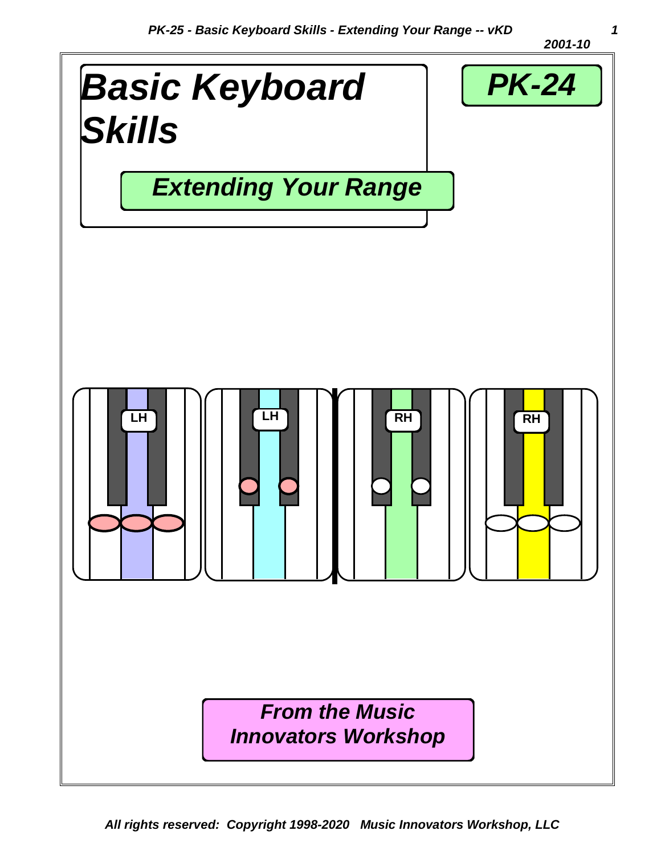*2001-10*

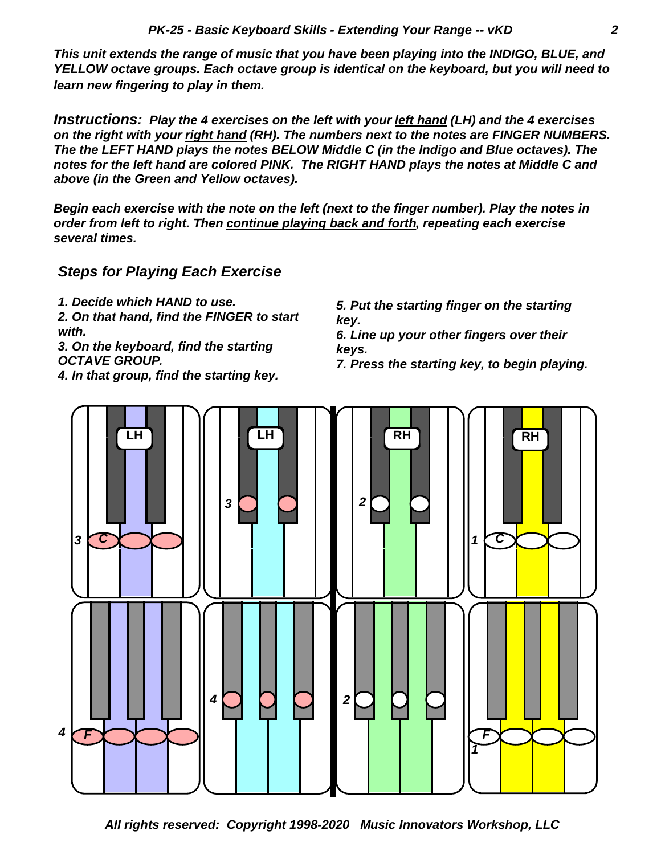*This unit extends the range of music that you have been playing into the INDIGO, BLUE, and YELLOW octave groups. Each octave group is identical on the keyboard, but you will need to learn new fingering to play in them.*

*Instructions: Play the 4 exercises on the left with your left hand (LH) and the 4 exercises on the right with your right hand (RH). The numbers next to the notes are FINGER NUMBERS. The the LEFT HAND plays the notes BELOW Middle C (in the Indigo and Blue octaves). The notes for the left hand are colored PINK. The RIGHT HAND plays the notes at Middle C and above (in the Green and Yellow octaves).*

*Begin each exercise with the note on the left (next to the finger number). Play the notes in order from left to right. Then continue playing back and forth, repeating each exercise several times.*

*Steps for Playing Each Exercise*

- *1. Decide which HAND to use.*
- *2. On that hand, find the FINGER to start with.*

*3. On the keyboard, find the starting OCTAVE GROUP.*

*4. In that group, find the starting key.*

*5. Put the starting finger on the starting key.*

*6. Line up your other fingers over their keys.*

*7. Press the starting key, to begin playing.*

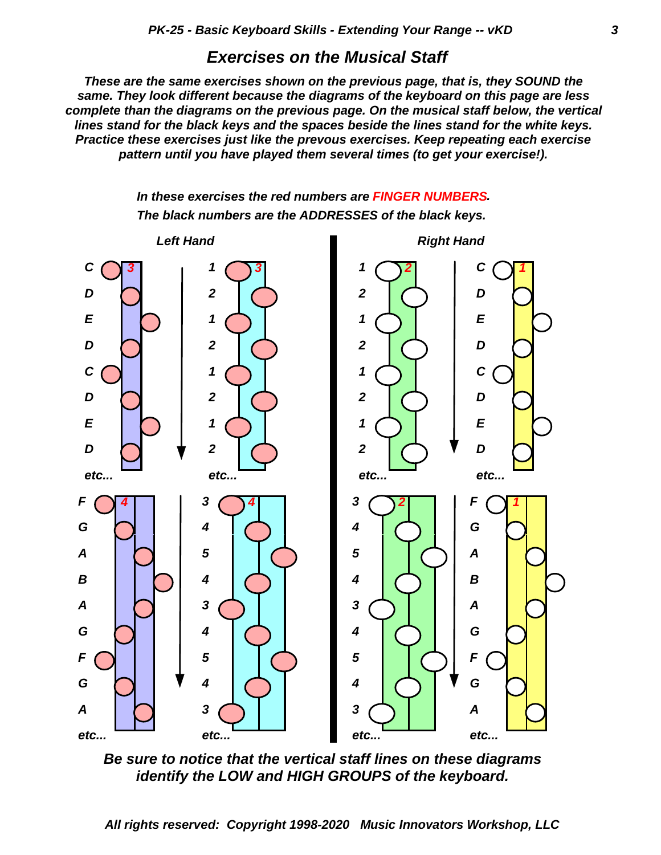#### *Exercises on the Musical Staff*

*These are the same exercises shown on the previous page, that is, they SOUND the same. They look different because the diagrams of the keyboard on this page are less complete than the diagrams on the previous page. On the musical staff below, the vertical lines stand for the black keys and the spaces beside the lines stand for the white keys. Practice these exercises just like the prevous exercises. Keep repeating each exercise pattern until you have played them several times (to get your exercise!).*





*Be sure to notice that the vertical staff lines on these diagrams identify the LOW and HIGH GROUPS of the keyboard.*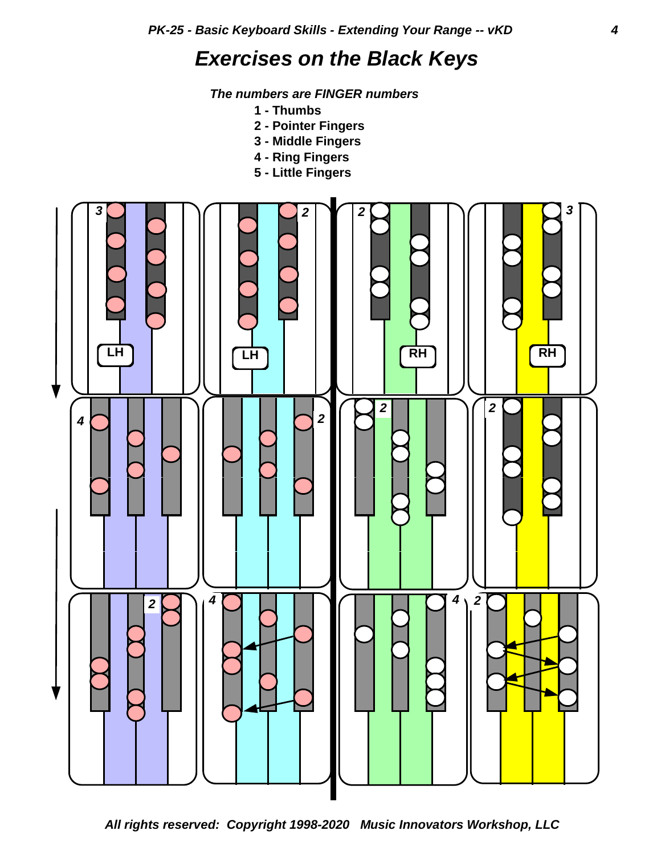# *Exercises on the Black Keys*

 *The numbers are FINGER numbers*

- **1 Thumbs**
- **2 Pointer Fingers**
- **3 Middle Fingers**
- **4 Ring Fingers**
- **5 Little Fingers**

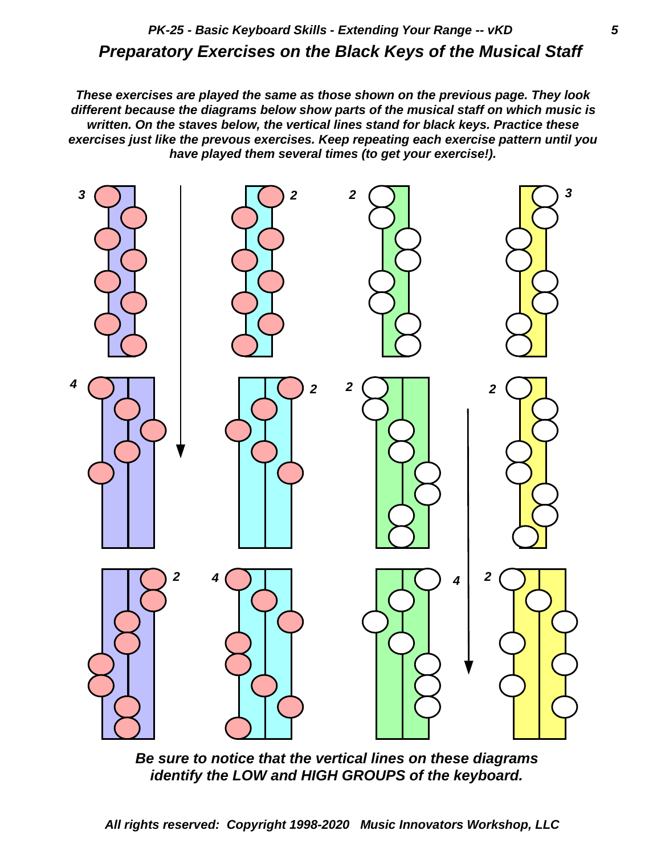## *Preparatory Exercises on the Black Keys of the Musical Staff PK-25 - Basic Keyboard Skills - Extending Your Range -- vKD 5*

*These exercises are played the same as those shown on the previous page. They look different because the diagrams below show parts of the musical staff on which music is written. On the staves below, the vertical lines stand for black keys. Practice these exercises just like the prevous exercises. Keep repeating each exercise pattern until you have played them several times (to get your exercise!).*



*Be sure to notice that the vertical lines on these diagrams identify the LOW and HIGH GROUPS of the keyboard.*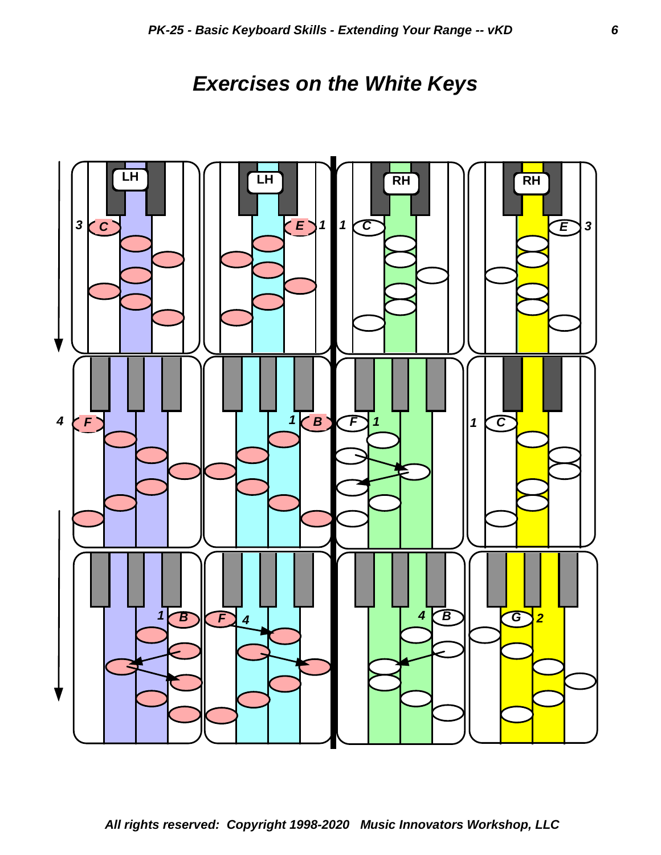## *Exercises on the White Keys*

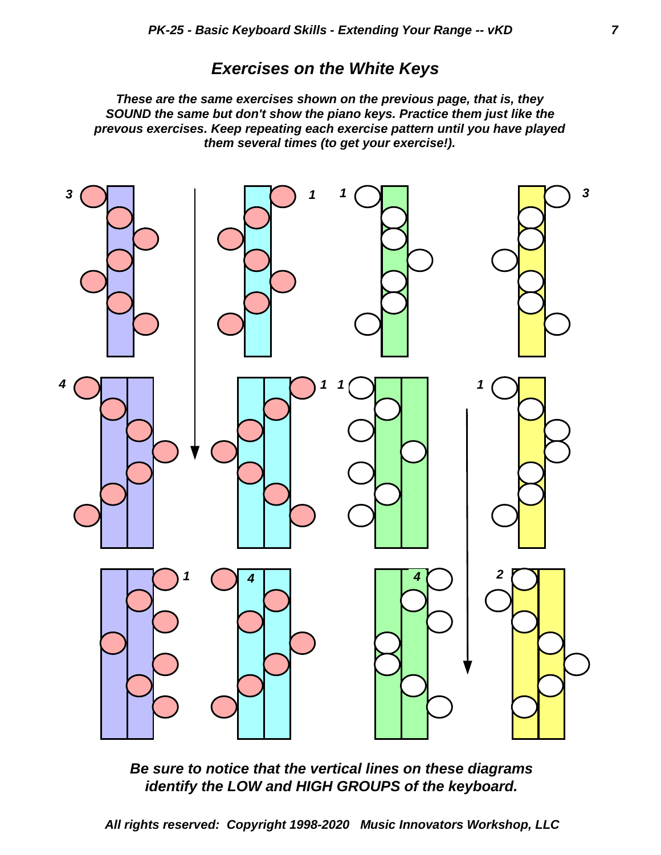#### *Exercises on the White Keys*

*These are the same exercises shown on the previous page, that is, they SOUND the same but don't show the piano keys. Practice them just like the prevous exercises. Keep repeating each exercise pattern until you have played them several times (to get your exercise!).*



*Be sure to notice that the vertical lines on these diagrams identify the LOW and HIGH GROUPS of the keyboard.*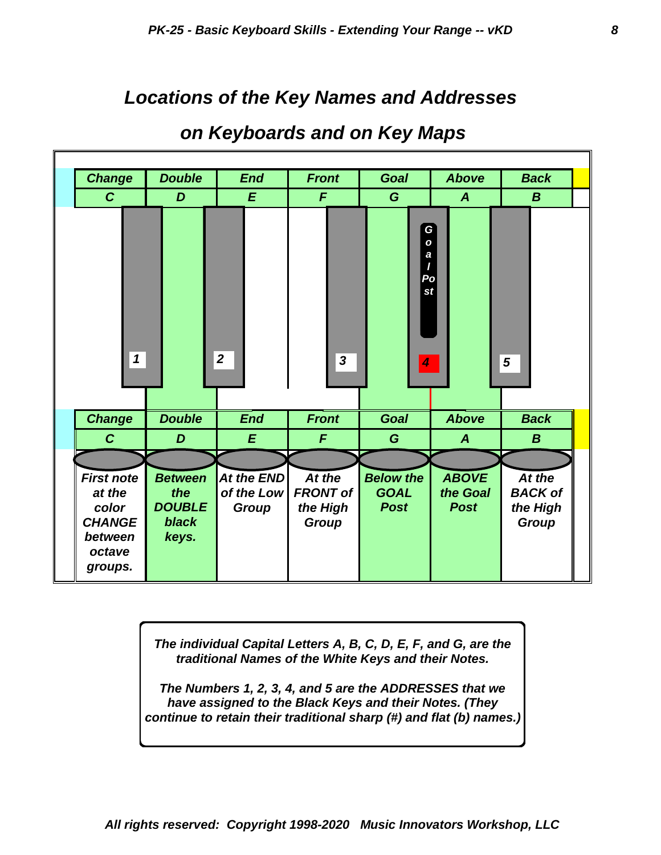## *Locations of the Key Names and Addresses*

| <b>Change</b>                                                                         | <b>Double</b>                                                   | <b>End</b>                               | <b>Front</b>                                   | <b>Goal</b>                                    | <b>Above</b>                            | <b>Back</b>                                          |
|---------------------------------------------------------------------------------------|-----------------------------------------------------------------|------------------------------------------|------------------------------------------------|------------------------------------------------|-----------------------------------------|------------------------------------------------------|
| $\mathcal{C}$                                                                         | D                                                               | E                                        | F                                              | G                                              | $\boldsymbol{A}$                        | $\boldsymbol{B}$                                     |
| $\mathbf 1$                                                                           |                                                                 | $\boldsymbol{2}$                         | $\mathbf{3}$                                   | Goalpost<br>$\overline{\mathbf{4}}$            |                                         | $\overline{5}$                                       |
| <b>Change</b>                                                                         | <b>Double</b>                                                   | <b>End</b>                               | <b>Front</b>                                   | <b>Goal</b>                                    | <b>Above</b>                            | <b>Back</b>                                          |
| $\mathbf{C}$                                                                          | D                                                               | E                                        | $\mathbf{F}$                                   | G                                              | $\boldsymbol{A}$                        | $\boldsymbol{B}$                                     |
| <b>First note</b><br>at the<br>color<br><b>CHANGE</b><br>between<br>octave<br>groups. | <b>Between</b><br>the<br><b>DOUBLE</b><br><b>black</b><br>keys. | At the END<br>of the Low<br><b>Group</b> | At the<br><b>FRONT of</b><br>the High<br>Group | <b>Below the</b><br><b>GOAL</b><br><b>Post</b> | <b>ABOVE</b><br>the Goal<br><b>Post</b> | At the<br><b>BACK of</b><br>the High<br><b>Group</b> |

## *on Keyboards and on Key Maps*

*The individual Capital Letters A, B, C, D, E, F, and G, are the traditional Names of the White Keys and their Notes.*

*The Numbers 1, 2, 3, 4, and 5 are the ADDRESSES that we have assigned to the Black Keys and their Notes. (They continue to retain their traditional sharp (#) and flat (b) names.)*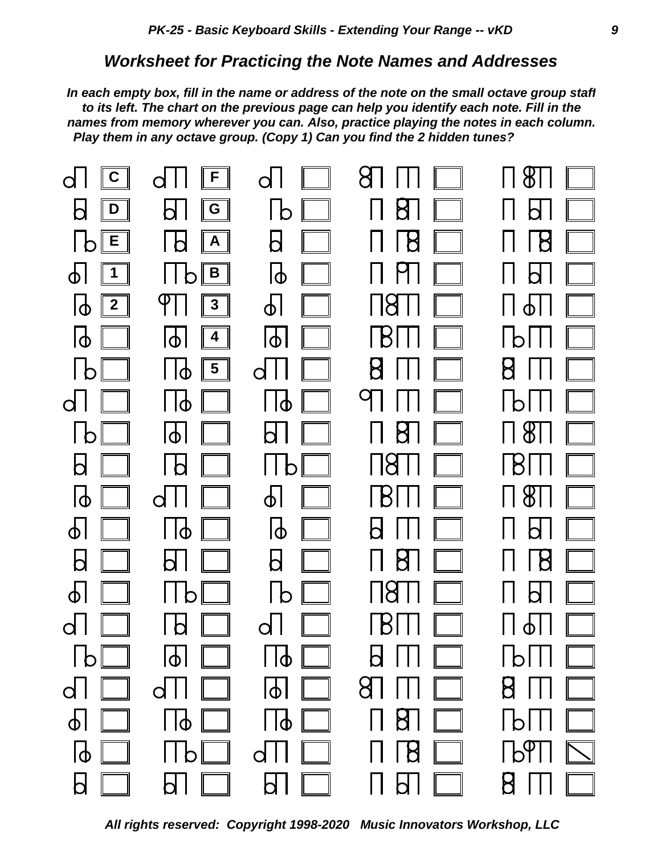#### *Worksheet for Practicing the Note Names and Addresses*

*Play them in any octave group. (Copy 1) Can you find the 2 hidden tunes? names from memory wherever you can. Also, practice playing the notes in each column. to its left. The chart on the previous page can help you identify each note. Fill in the In each empty box, fill in the name or address of the note on the small octave group staff*